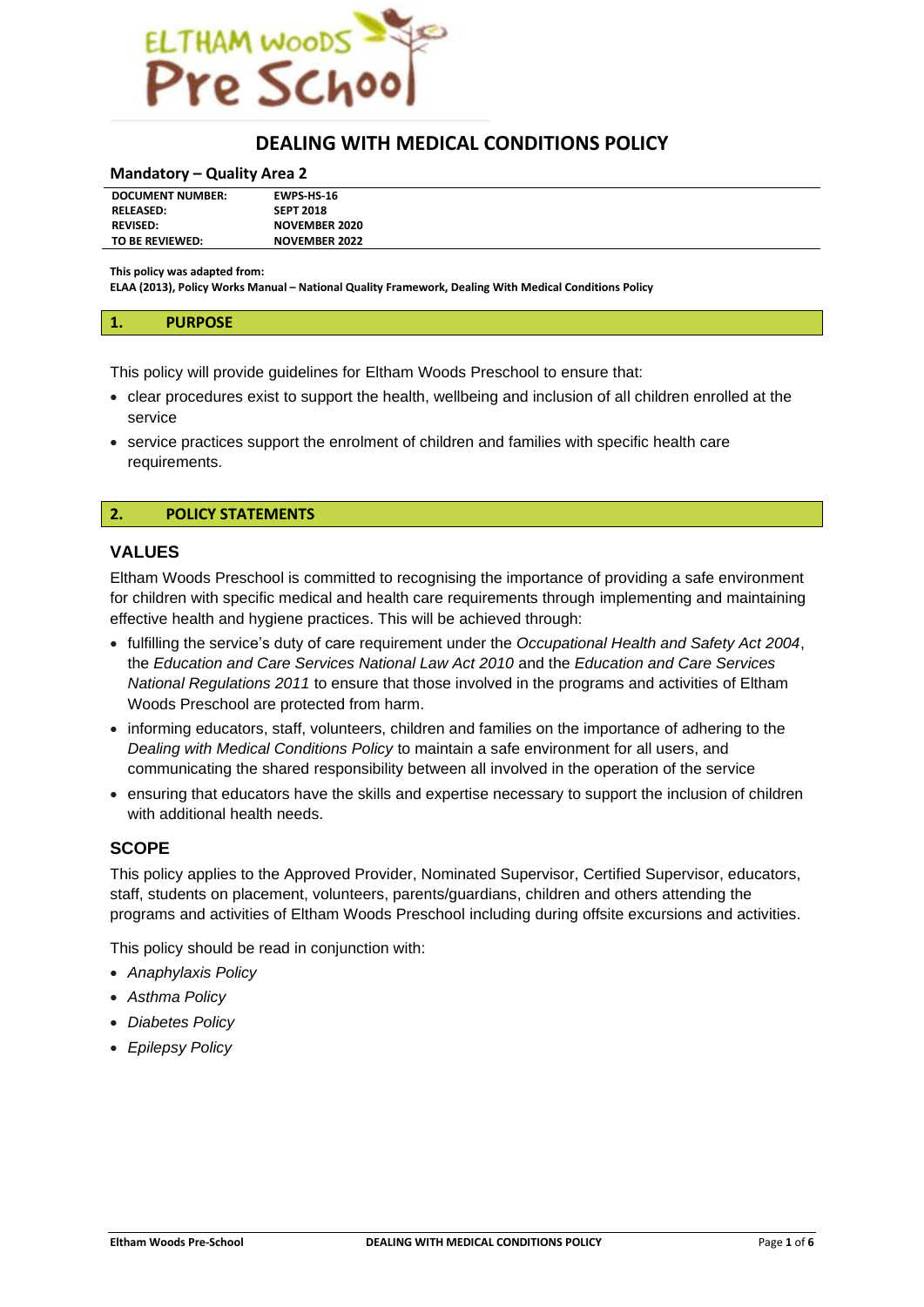

# **DEALING WITH MEDICAL CONDITIONS POLICY**

#### **Mandatory – Quality Area 2**

| <b>DOCUMENT NUMBER:</b> | <b>EWPS HS-16</b>    |
|-------------------------|----------------------|
| <b>RELEASED:</b>        | <b>SEPT 2018</b>     |
| <b>REVISED:</b>         | <b>NOVEMBER 2020</b> |
| TO BE REVIEWED:         | <b>NOVEMBER 2022</b> |

**This policy was adapted from:**

**ELAA (2013), Policy Works Manual – National Quality Framework, Dealing With Medical Conditions Policy**

This policy will provide guidelines for Eltham Woods Preschool to ensure that:

- clear procedures exist to support the health, wellbeing and inclusion of all children enrolled at the service
- service practices support the enrolment of children and families with specific health care requirements.

### **2. POLICY STATEMENTS**

### **VALUES**

Eltham Woods Preschool is committed to recognising the importance of providing a safe environment for children with specific medical and health care requirements through implementing and maintaining effective health and hygiene practices. This will be achieved through:

- fulfilling the service's duty of care requirement under the *Occupational Health and Safety Act 2004*, the *Education and Care Services National Law Act 2010* and the *Education and Care Services National Regulations 2011* to ensure that those involved in the programs and activities of Eltham Woods Preschool are protected from harm.
- informing educators, staff, volunteers, children and families on the importance of adhering to the *Dealing with Medical Conditions Policy* to maintain a safe environment for all users, and communicating the shared responsibility between all involved in the operation of the service
- ensuring that educators have the skills and expertise necessary to support the inclusion of children with additional health needs.

# **SCOPE**

This policy applies to the Approved Provider, Nominated Supervisor, Certified Supervisor, educators, staff, students on placement, volunteers, parents/guardians, children and others attending the programs and activities of Eltham Woods Preschool including during offsite excursions and activities.

This policy should be read in conjunction with:

- *Anaphylaxis Policy*
- *Asthma Policy*
- *Diabetes Policy*
- *Epilepsy Policy*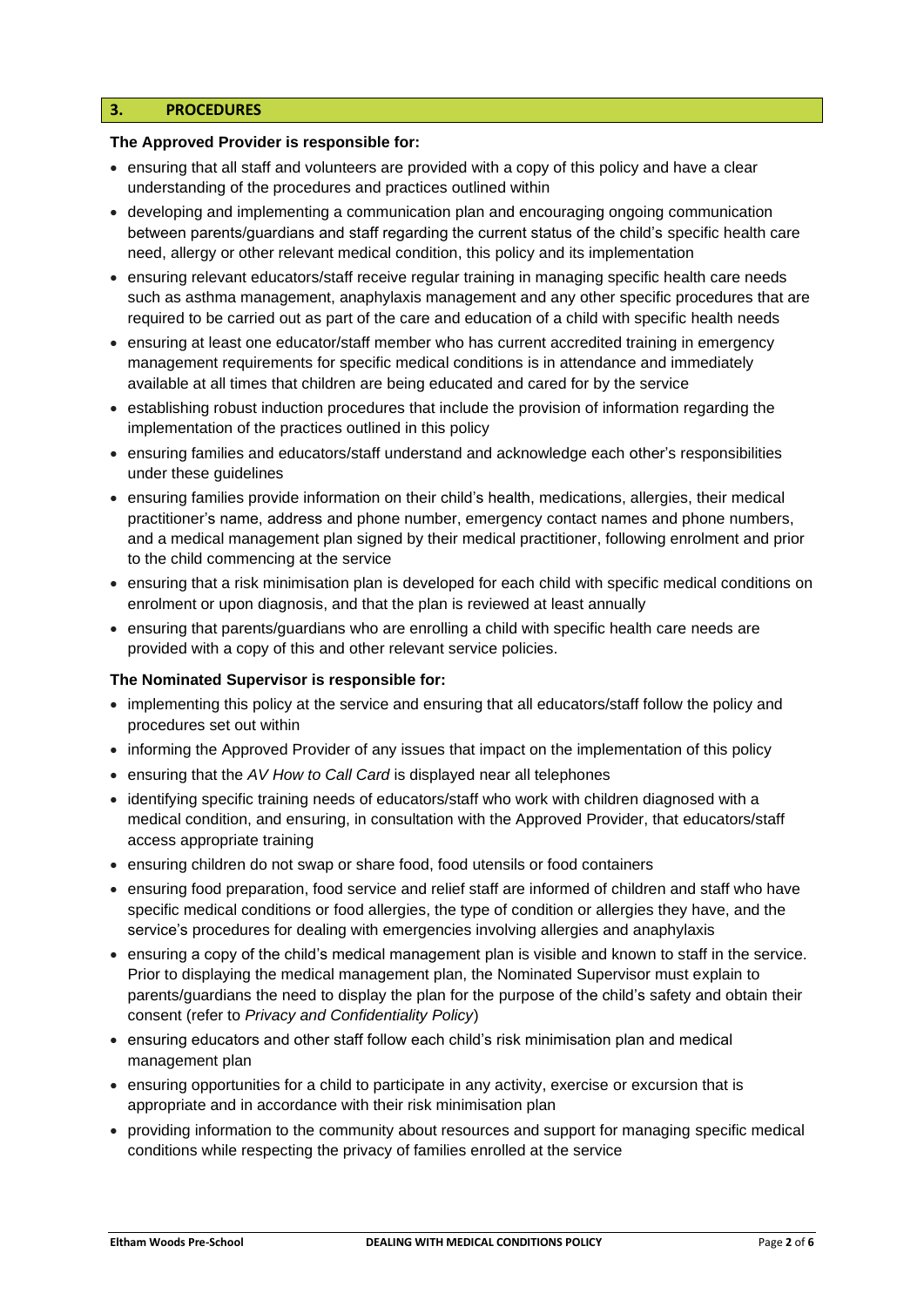# **3. PROCEDURES**

### **The Approved Provider is responsible for:**

- ensuring that all staff and volunteers are provided with a copy of this policy and have a clear understanding of the procedures and practices outlined within
- developing and implementing a communication plan and encouraging ongoing communication between parents/guardians and staff regarding the current status of the child's specific health care need, allergy or other relevant medical condition, this policy and its implementation
- ensuring relevant educators/staff receive regular training in managing specific health care needs such as asthma management, anaphylaxis management and any other specific procedures that are required to be carried out as part of the care and education of a child with specific health needs
- ensuring at least one educator/staff member who has current accredited training in emergency management requirements for specific medical conditions is in attendance and immediately available at all times that children are being educated and cared for by the service
- establishing robust induction procedures that include the provision of information regarding the implementation of the practices outlined in this policy
- ensuring families and educators/staff understand and acknowledge each other's responsibilities under these guidelines
- ensuring families provide information on their child's health, medications, allergies, their medical practitioner's name, address and phone number, emergency contact names and phone numbers, and a medical management plan signed by their medical practitioner, following enrolment and prior to the child commencing at the service
- ensuring that a risk minimisation plan is developed for each child with specific medical conditions on enrolment or upon diagnosis, and that the plan is reviewed at least annually
- ensuring that parents/guardians who are enrolling a child with specific health care needs are provided with a copy of this and other relevant service policies.

## **The Nominated Supervisor is responsible for:**

- implementing this policy at the service and ensuring that all educators/staff follow the policy and procedures set out within
- informing the Approved Provider of any issues that impact on the implementation of this policy
- ensuring that the *AV How to Call Card* is displayed near all telephones
- identifying specific training needs of educators/staff who work with children diagnosed with a medical condition, and ensuring, in consultation with the Approved Provider, that educators/staff access appropriate training
- ensuring children do not swap or share food, food utensils or food containers
- ensuring food preparation, food service and relief staff are informed of children and staff who have specific medical conditions or food allergies, the type of condition or allergies they have, and the service's procedures for dealing with emergencies involving allergies and anaphylaxis
- ensuring a copy of the child's medical management plan is visible and known to staff in the service. Prior to displaying the medical management plan, the Nominated Supervisor must explain to parents/guardians the need to display the plan for the purpose of the child's safety and obtain their consent (refer to *Privacy and Confidentiality Policy*)
- ensuring educators and other staff follow each child's risk minimisation plan and medical management plan
- ensuring opportunities for a child to participate in any activity, exercise or excursion that is appropriate and in accordance with their risk minimisation plan
- providing information to the community about resources and support for managing specific medical conditions while respecting the privacy of families enrolled at the service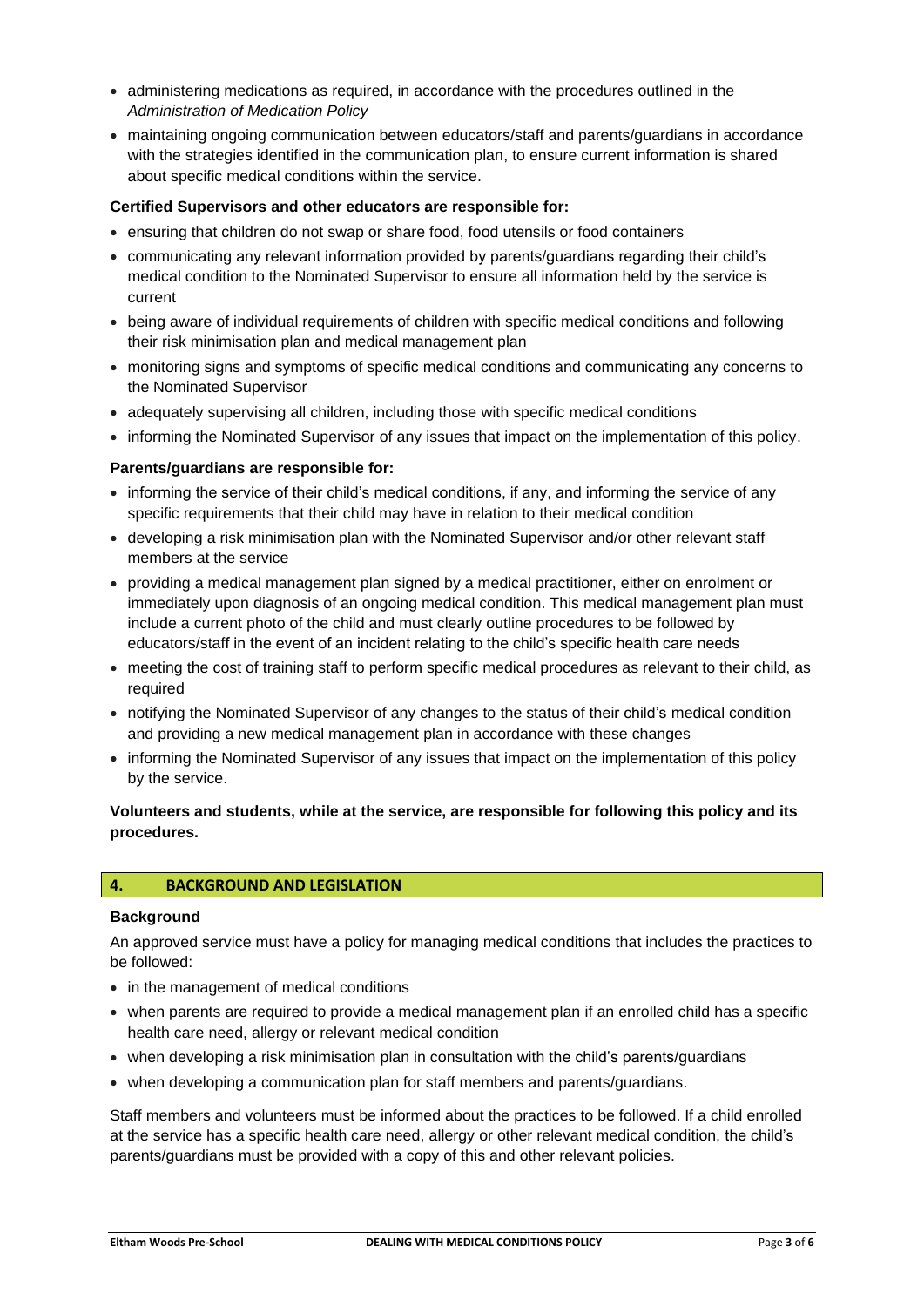- administering medications as required, in accordance with the procedures outlined in the *Administration of Medication Policy*
- maintaining ongoing communication between educators/staff and parents/guardians in accordance with the strategies identified in the communication plan, to ensure current information is shared about specific medical conditions within the service.

## **Certified Supervisors and other educators are responsible for:**

- ensuring that children do not swap or share food, food utensils or food containers
- communicating any relevant information provided by parents/guardians regarding their child's medical condition to the Nominated Supervisor to ensure all information held by the service is current
- being aware of individual requirements of children with specific medical conditions and following their risk minimisation plan and medical management plan
- monitoring signs and symptoms of specific medical conditions and communicating any concerns to the Nominated Supervisor
- adequately supervising all children, including those with specific medical conditions
- informing the Nominated Supervisor of any issues that impact on the implementation of this policy.

## **Parents/guardians are responsible for:**

- informing the service of their child's medical conditions, if any, and informing the service of any specific requirements that their child may have in relation to their medical condition
- developing a risk minimisation plan with the Nominated Supervisor and/or other relevant staff members at the service
- providing a medical management plan signed by a medical practitioner, either on enrolment or immediately upon diagnosis of an ongoing medical condition. This medical management plan must include a current photo of the child and must clearly outline procedures to be followed by educators/staff in the event of an incident relating to the child's specific health care needs
- meeting the cost of training staff to perform specific medical procedures as relevant to their child, as required
- notifying the Nominated Supervisor of any changes to the status of their child's medical condition and providing a new medical management plan in accordance with these changes
- informing the Nominated Supervisor of any issues that impact on the implementation of this policy by the service.

# **Volunteers and students, while at the service, are responsible for following this policy and its procedures.**

#### **4. BACKGROUND AND LEGISLATION**

#### **Background**

An approved service must have a policy for managing medical conditions that includes the practices to be followed:

- in the management of medical conditions
- when parents are required to provide a medical management plan if an enrolled child has a specific health care need, allergy or relevant medical condition
- when developing a risk minimisation plan in consultation with the child's parents/guardians
- when developing a communication plan for staff members and parents/guardians.

Staff members and volunteers must be informed about the practices to be followed. If a child enrolled at the service has a specific health care need, allergy or other relevant medical condition, the child's parents/guardians must be provided with a copy of this and other relevant policies.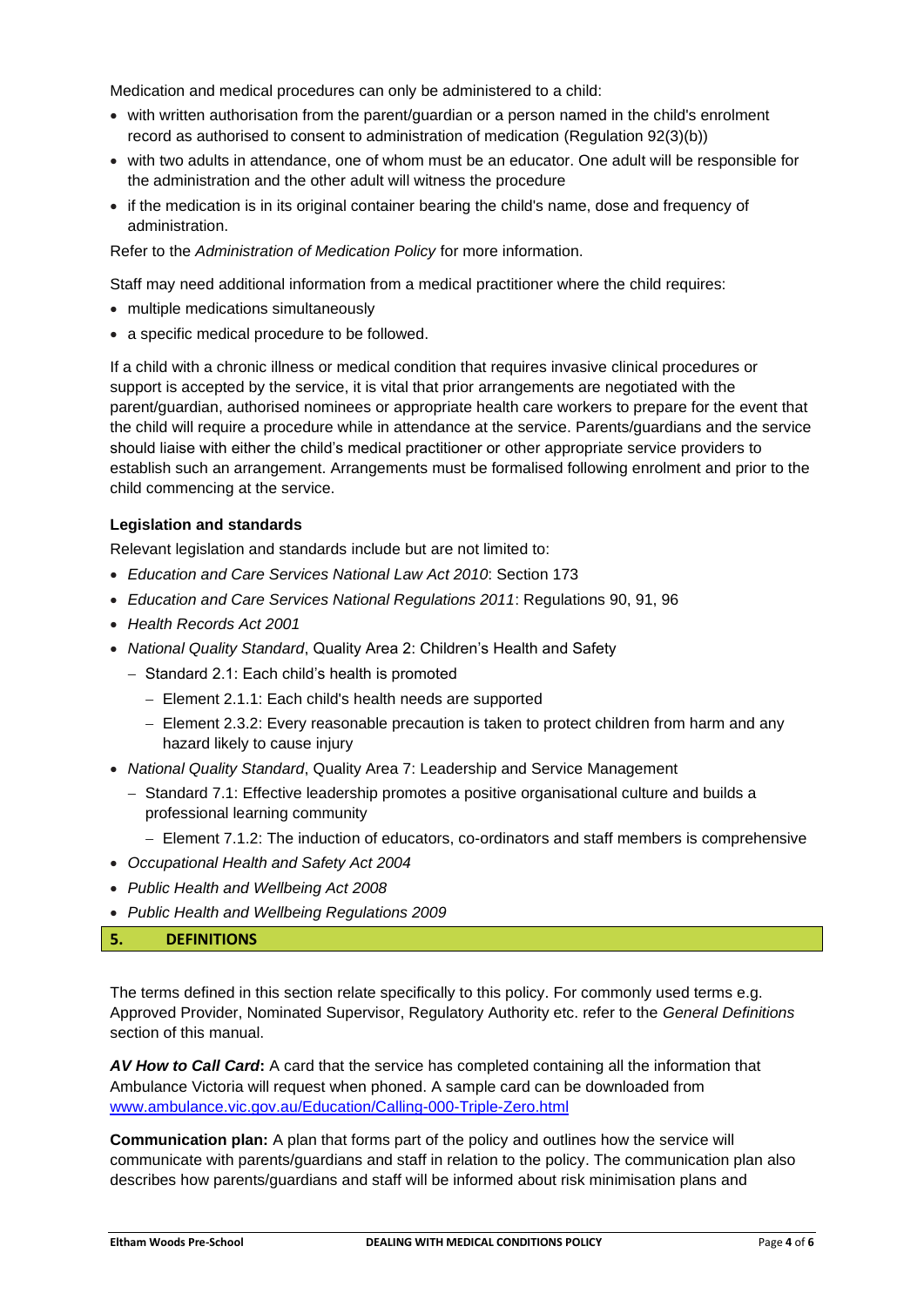Medication and medical procedures can only be administered to a child:

- with written authorisation from the parent/guardian or a person named in the child's enrolment record as authorised to consent to administration of medication (Regulation 92(3)(b))
- with two adults in attendance, one of whom must be an educator. One adult will be responsible for the administration and the other adult will witness the procedure
- if the medication is in its original container bearing the child's name, dose and frequency of administration.

Refer to the *Administration of Medication Policy* for more information.

Staff may need additional information from a medical practitioner where the child requires:

- multiple medications simultaneously
- a specific medical procedure to be followed.

If a child with a chronic illness or medical condition that requires invasive clinical procedures or support is accepted by the service, it is vital that prior arrangements are negotiated with the parent/guardian, authorised nominees or appropriate health care workers to prepare for the event that the child will require a procedure while in attendance at the service. Parents/guardians and the service should liaise with either the child's medical practitioner or other appropriate service providers to establish such an arrangement. Arrangements must be formalised following enrolment and prior to the child commencing at the service.

## **Legislation and standards**

Relevant legislation and standards include but are not limited to:

- *Education and Care Services National Law Act 2010*: Section 173
- *Education and Care Services National Regulations 2011*: Regulations 90, 91, 96
- *Health Records Act 2001*
- *National Quality Standard*, Quality Area 2: Children's Health and Safety
	- − Standard 2.1: Each child's health is promoted
		- − Element 2.1.1: Each child's health needs are supported
		- − Element 2.3.2: Every reasonable precaution is taken to protect children from harm and any hazard likely to cause injury
- *National Quality Standard*, Quality Area 7: Leadership and Service Management
	- − Standard 7.1: Effective leadership promotes a positive organisational culture and builds a professional learning community
		- − Element 7.1.2: The induction of educators, co-ordinators and staff members is comprehensive
- *Occupational Health and Safety Act 2004*
- *Public Health and Wellbeing Act 2008*
- *Public Health and Wellbeing Regulations 2009*

## **5. DEFINITIONS**

The terms defined in this section relate specifically to this policy. For commonly used terms e.g. Approved Provider, Nominated Supervisor, Regulatory Authority etc. refer to the *General Definitions* section of this manual.

*AV How to Call Card***:** A card that the service has completed containing all the information that Ambulance Victoria will request when phoned. A sample card can be downloaded from [www.ambulance.vic.gov.au/Education/Calling-000-Triple-Zero.html](http://www.ambulance.vic.gov.au/Education/Calling-000-Triple-Zero.html)

**Communication plan:** A plan that forms part of the policy and outlines how the service will communicate with parents/guardians and staff in relation to the policy. The communication plan also describes how parents/guardians and staff will be informed about risk minimisation plans and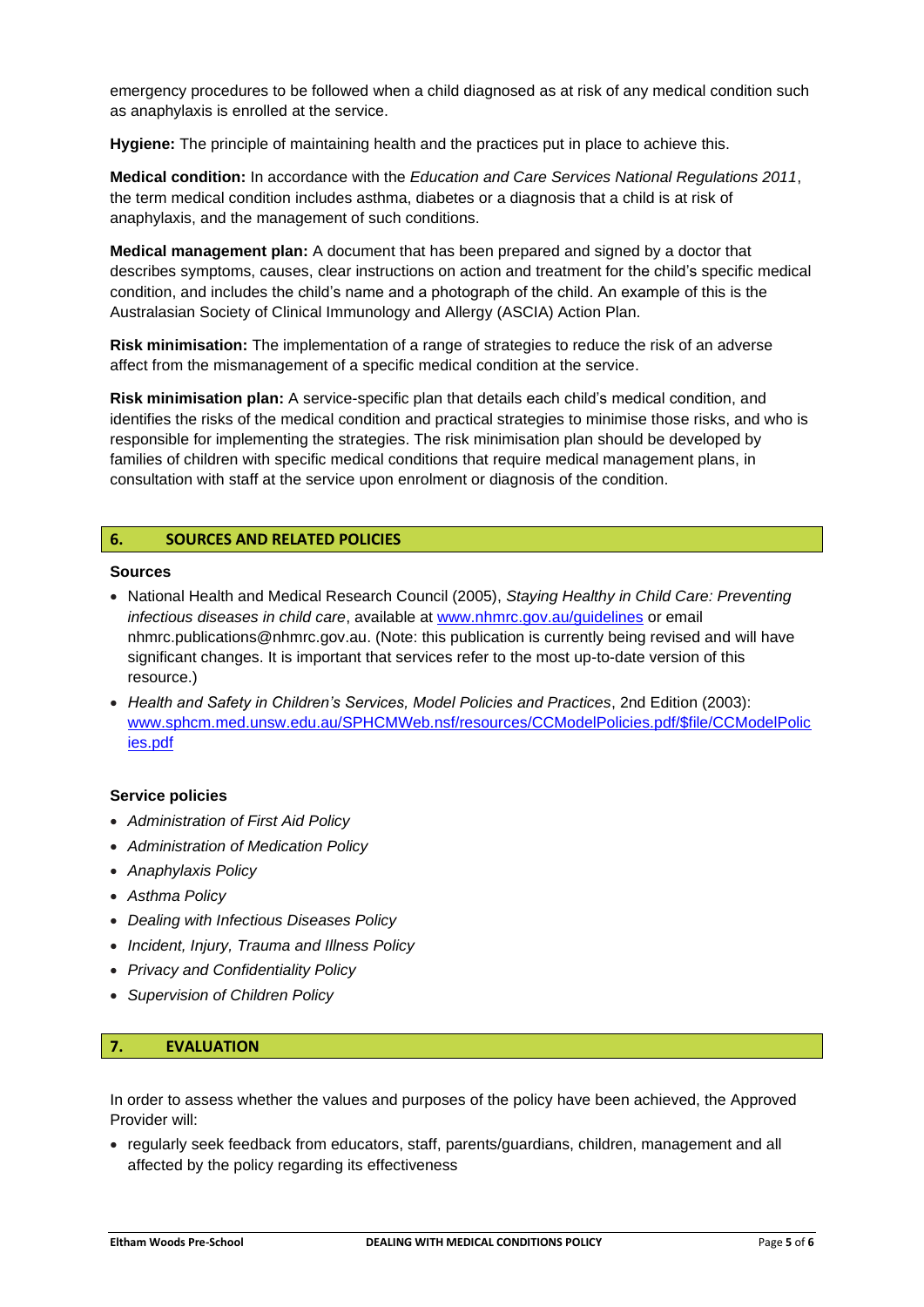emergency procedures to be followed when a child diagnosed as at risk of any medical condition such as anaphylaxis is enrolled at the service.

**Hygiene:** The principle of maintaining health and the practices put in place to achieve this.

**Medical condition:** In accordance with the *Education and Care Services National Regulations 2011*, the term medical condition includes asthma, diabetes or a diagnosis that a child is at risk of anaphylaxis, and the management of such conditions.

**Medical management plan:** A document that has been prepared and signed by a doctor that describes symptoms, causes, clear instructions on action and treatment for the child's specific medical condition, and includes the child's name and a photograph of the child. An example of this is the Australasian Society of Clinical Immunology and Allergy (ASCIA) Action Plan.

**Risk minimisation:** The implementation of a range of strategies to reduce the risk of an adverse affect from the mismanagement of a specific medical condition at the service.

**Risk minimisation plan:** A service-specific plan that details each child's medical condition, and identifies the risks of the medical condition and practical strategies to minimise those risks, and who is responsible for implementing the strategies. The risk minimisation plan should be developed by families of children with specific medical conditions that require medical management plans, in consultation with staff at the service upon enrolment or diagnosis of the condition.

### **6. SOURCES AND RELATED POLICIES**

#### **Sources**

- National Health and Medical Research Council (2005), *Staying Healthy in Child Care: Preventing infectious diseases in child care*, available at [www.nhmrc.gov.au/guidelines](http://www.nhmrc.gov.au/guidelines) or email nhmrc.publications@nhmrc.gov.au. (Note: this publication is currently being revised and will have significant changes. It is important that services refer to the most up-to-date version of this resource.)
- *Health and Safety in Children's Services, Model Policies and Practices*, 2nd Edition (2003): [www.sphcm.med.unsw.edu.au/SPHCMWeb.nsf/resources/CCModelPolicies.pdf/\\$file/CCModelPolic](http://www.sphcm.med.unsw.edu.au/SPHCMWeb.nsf/resources/CCModelPolicies.pdf/$file/CCModelPolicies.pdf) [ies.pdf](http://www.sphcm.med.unsw.edu.au/SPHCMWeb.nsf/resources/CCModelPolicies.pdf/$file/CCModelPolicies.pdf)

#### **Service policies**

- *Administration of First Aid Policy*
- *Administration of Medication Policy*
- *Anaphylaxis Policy*
- *Asthma Policy*
- *Dealing with Infectious Diseases Policy*
- *Incident, Injury, Trauma and Illness Policy*
- *Privacy and Confidentiality Policy*
- *Supervision of Children Policy*

# **7. EVALUATION**

In order to assess whether the values and purposes of the policy have been achieved, the Approved Provider will:

• regularly seek feedback from educators, staff, parents/guardians, children, management and all affected by the policy regarding its effectiveness